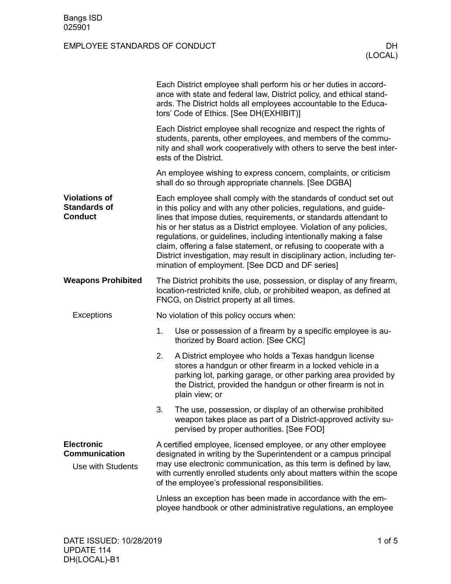|                                                                | Each District employee shall perform his or her duties in accord-<br>ance with state and federal law, District policy, and ethical stand-<br>ards. The District holds all employees accountable to the Educa-<br>tors' Code of Ethics. [See DH(EXHIBIT)]                                                                                                                                                                                                                                                                                                         |                                                                                                                                                                                                                                                                          |  |  |
|----------------------------------------------------------------|------------------------------------------------------------------------------------------------------------------------------------------------------------------------------------------------------------------------------------------------------------------------------------------------------------------------------------------------------------------------------------------------------------------------------------------------------------------------------------------------------------------------------------------------------------------|--------------------------------------------------------------------------------------------------------------------------------------------------------------------------------------------------------------------------------------------------------------------------|--|--|
|                                                                |                                                                                                                                                                                                                                                                                                                                                                                                                                                                                                                                                                  | Each District employee shall recognize and respect the rights of<br>students, parents, other employees, and members of the commu-<br>nity and shall work cooperatively with others to serve the best inter-<br>ests of the District.                                     |  |  |
|                                                                |                                                                                                                                                                                                                                                                                                                                                                                                                                                                                                                                                                  | An employee wishing to express concern, complaints, or criticism<br>shall do so through appropriate channels. [See DGBA]                                                                                                                                                 |  |  |
| <b>Violations of</b><br><b>Standards of</b><br><b>Conduct</b>  | Each employee shall comply with the standards of conduct set out<br>in this policy and with any other policies, regulations, and guide-<br>lines that impose duties, requirements, or standards attendant to<br>his or her status as a District employee. Violation of any policies,<br>regulations, or guidelines, including intentionally making a false<br>claim, offering a false statement, or refusing to cooperate with a<br>District investigation, may result in disciplinary action, including ter-<br>mination of employment. [See DCD and DF series] |                                                                                                                                                                                                                                                                          |  |  |
| <b>Weapons Prohibited</b>                                      | The District prohibits the use, possession, or display of any firearm,<br>location-restricted knife, club, or prohibited weapon, as defined at<br>FNCG, on District property at all times.                                                                                                                                                                                                                                                                                                                                                                       |                                                                                                                                                                                                                                                                          |  |  |
| Exceptions                                                     | No violation of this policy occurs when:                                                                                                                                                                                                                                                                                                                                                                                                                                                                                                                         |                                                                                                                                                                                                                                                                          |  |  |
|                                                                | 1.                                                                                                                                                                                                                                                                                                                                                                                                                                                                                                                                                               | Use or possession of a firearm by a specific employee is au-<br>thorized by Board action. [See CKC]                                                                                                                                                                      |  |  |
|                                                                | 2.                                                                                                                                                                                                                                                                                                                                                                                                                                                                                                                                                               | A District employee who holds a Texas handgun license<br>stores a handgun or other firearm in a locked vehicle in a<br>parking lot, parking garage, or other parking area provided by<br>the District, provided the handgun or other firearm is not in<br>plain view; or |  |  |
|                                                                | 3.                                                                                                                                                                                                                                                                                                                                                                                                                                                                                                                                                               | The use, possession, or display of an otherwise prohibited<br>weapon takes place as part of a District-approved activity su-<br>pervised by proper authorities. [See FOD]                                                                                                |  |  |
| <b>Electronic</b><br><b>Communication</b><br>Use with Students | A certified employee, licensed employee, or any other employee<br>designated in writing by the Superintendent or a campus principal<br>may use electronic communication, as this term is defined by law,<br>with currently enrolled students only about matters within the scope<br>of the employee's professional responsibilities.                                                                                                                                                                                                                             |                                                                                                                                                                                                                                                                          |  |  |
|                                                                |                                                                                                                                                                                                                                                                                                                                                                                                                                                                                                                                                                  | Unless an exception has been made in accordance with the em-<br>ployee handbook or other administrative regulations, an employee                                                                                                                                         |  |  |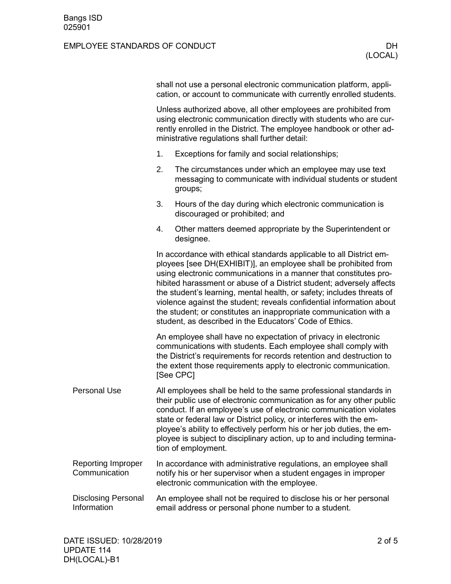|                                            | shall not use a personal electronic communication platform, appli-<br>cation, or account to communicate with currently enrolled students.                                                                                                                                                                                                                                                                                                                                                                                                                            |                                                                                                                                                                                                                                                                                                                                                                                                                                                                   |  |  |  |
|--------------------------------------------|----------------------------------------------------------------------------------------------------------------------------------------------------------------------------------------------------------------------------------------------------------------------------------------------------------------------------------------------------------------------------------------------------------------------------------------------------------------------------------------------------------------------------------------------------------------------|-------------------------------------------------------------------------------------------------------------------------------------------------------------------------------------------------------------------------------------------------------------------------------------------------------------------------------------------------------------------------------------------------------------------------------------------------------------------|--|--|--|
|                                            | Unless authorized above, all other employees are prohibited from<br>using electronic communication directly with students who are cur-<br>rently enrolled in the District. The employee handbook or other ad-<br>ministrative regulations shall further detail:                                                                                                                                                                                                                                                                                                      |                                                                                                                                                                                                                                                                                                                                                                                                                                                                   |  |  |  |
|                                            | 1.                                                                                                                                                                                                                                                                                                                                                                                                                                                                                                                                                                   | Exceptions for family and social relationships;                                                                                                                                                                                                                                                                                                                                                                                                                   |  |  |  |
|                                            | 2.                                                                                                                                                                                                                                                                                                                                                                                                                                                                                                                                                                   | The circumstances under which an employee may use text<br>messaging to communicate with individual students or student<br>groups;                                                                                                                                                                                                                                                                                                                                 |  |  |  |
|                                            | 3.                                                                                                                                                                                                                                                                                                                                                                                                                                                                                                                                                                   | Hours of the day during which electronic communication is<br>discouraged or prohibited; and                                                                                                                                                                                                                                                                                                                                                                       |  |  |  |
|                                            | 4.                                                                                                                                                                                                                                                                                                                                                                                                                                                                                                                                                                   | Other matters deemed appropriate by the Superintendent or<br>designee.                                                                                                                                                                                                                                                                                                                                                                                            |  |  |  |
|                                            | In accordance with ethical standards applicable to all District em-<br>ployees [see DH(EXHIBIT)], an employee shall be prohibited from<br>using electronic communications in a manner that constitutes pro-<br>hibited harassment or abuse of a District student; adversely affects<br>the student's learning, mental health, or safety; includes threats of<br>violence against the student; reveals confidential information about<br>the student; or constitutes an inappropriate communication with a<br>student, as described in the Educators' Code of Ethics. |                                                                                                                                                                                                                                                                                                                                                                                                                                                                   |  |  |  |
|                                            |                                                                                                                                                                                                                                                                                                                                                                                                                                                                                                                                                                      | An employee shall have no expectation of privacy in electronic<br>communications with students. Each employee shall comply with<br>the District's requirements for records retention and destruction to<br>the extent those requirements apply to electronic communication.<br>[See CPC]                                                                                                                                                                          |  |  |  |
| <b>Personal Use</b>                        |                                                                                                                                                                                                                                                                                                                                                                                                                                                                                                                                                                      | All employees shall be held to the same professional standards in<br>their public use of electronic communication as for any other public<br>conduct. If an employee's use of electronic communication violates<br>state or federal law or District policy, or interferes with the em-<br>ployee's ability to effectively perform his or her job duties, the em-<br>ployee is subject to disciplinary action, up to and including termina-<br>tion of employment. |  |  |  |
| <b>Reporting Improper</b><br>Communication |                                                                                                                                                                                                                                                                                                                                                                                                                                                                                                                                                                      | In accordance with administrative regulations, an employee shall<br>notify his or her supervisor when a student engages in improper<br>electronic communication with the employee.                                                                                                                                                                                                                                                                                |  |  |  |
| <b>Disclosing Personal</b><br>Information  |                                                                                                                                                                                                                                                                                                                                                                                                                                                                                                                                                                      | An employee shall not be required to disclose his or her personal<br>email address or personal phone number to a student.                                                                                                                                                                                                                                                                                                                                         |  |  |  |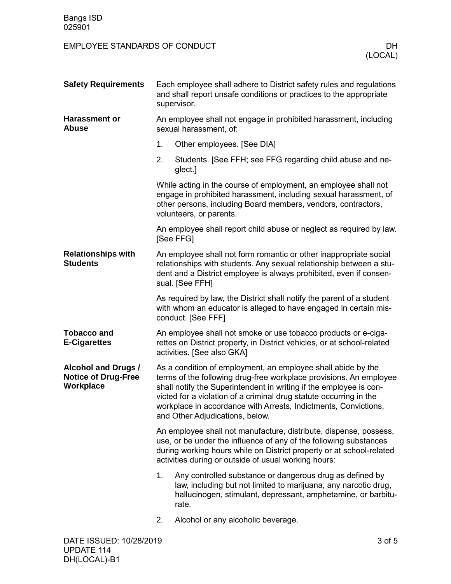| <b>Safety Requirements</b>                                            | Each employee shall adhere to District safety rules and regulations<br>and shall report unsafe conditions or practices to the appropriate<br>supervisor.                                                                                                                                                                                                                            |                                                                                                                                                                                                       |  |  |  |
|-----------------------------------------------------------------------|-------------------------------------------------------------------------------------------------------------------------------------------------------------------------------------------------------------------------------------------------------------------------------------------------------------------------------------------------------------------------------------|-------------------------------------------------------------------------------------------------------------------------------------------------------------------------------------------------------|--|--|--|
| <b>Harassment or</b><br><b>Abuse</b>                                  |                                                                                                                                                                                                                                                                                                                                                                                     | An employee shall not engage in prohibited harassment, including<br>sexual harassment, of:                                                                                                            |  |  |  |
|                                                                       | 1.                                                                                                                                                                                                                                                                                                                                                                                  | Other employees. [See DIA]                                                                                                                                                                            |  |  |  |
|                                                                       | 2.                                                                                                                                                                                                                                                                                                                                                                                  | Students. [See FFH; see FFG regarding child abuse and ne-<br>glect.]                                                                                                                                  |  |  |  |
|                                                                       | While acting in the course of employment, an employee shall not<br>engage in prohibited harassment, including sexual harassment, of<br>other persons, including Board members, vendors, contractors,<br>volunteers, or parents.                                                                                                                                                     |                                                                                                                                                                                                       |  |  |  |
|                                                                       | An employee shall report child abuse or neglect as required by law.<br>[See FFG]                                                                                                                                                                                                                                                                                                    |                                                                                                                                                                                                       |  |  |  |
| <b>Relationships with</b><br><b>Students</b>                          | An employee shall not form romantic or other inappropriate social<br>relationships with students. Any sexual relationship between a stu-<br>dent and a District employee is always prohibited, even if consen-<br>sual. [See FFH]                                                                                                                                                   |                                                                                                                                                                                                       |  |  |  |
|                                                                       | As required by law, the District shall notify the parent of a student<br>with whom an educator is alleged to have engaged in certain mis-<br>conduct. [See FFF]                                                                                                                                                                                                                     |                                                                                                                                                                                                       |  |  |  |
| <b>Tobacco and</b><br><b>E-Cigarettes</b>                             |                                                                                                                                                                                                                                                                                                                                                                                     | An employee shall not smoke or use tobacco products or e-ciga-<br>rettes on District property, in District vehicles, or at school-related<br>activities. [See also GKA]                               |  |  |  |
| <b>Alcohol and Drugs /</b><br><b>Notice of Drug-Free</b><br>Workplace | As a condition of employment, an employee shall abide by the<br>terms of the following drug-free workplace provisions. An employee<br>shall notify the Superintendent in writing if the employee is con-<br>victed for a violation of a criminal drug statute occurring in the<br>workplace in accordance with Arrests, Indictments, Convictions<br>and Other Adjudications, below. |                                                                                                                                                                                                       |  |  |  |
|                                                                       | An employee shall not manufacture, distribute, dispense, possess,<br>use, or be under the influence of any of the following substances<br>during working hours while on District property or at school-related<br>activities during or outside of usual working hours:                                                                                                              |                                                                                                                                                                                                       |  |  |  |
|                                                                       | 1.                                                                                                                                                                                                                                                                                                                                                                                  | Any controlled substance or dangerous drug as defined by<br>law, including but not limited to marijuana, any narcotic drug,<br>hallucinogen, stimulant, depressant, amphetamine, or barbitu-<br>rate. |  |  |  |
|                                                                       | 2.                                                                                                                                                                                                                                                                                                                                                                                  | Alcohol or any alcoholic beverage.                                                                                                                                                                    |  |  |  |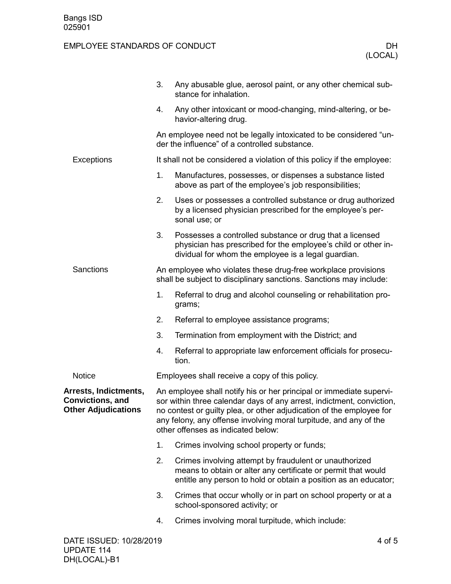| DATE ISSUED: 10/28/2019                                                        |                                                                                                                    |                                                                                                                                                                                                                                                                                                                                 | 4 of 5 |  |
|--------------------------------------------------------------------------------|--------------------------------------------------------------------------------------------------------------------|---------------------------------------------------------------------------------------------------------------------------------------------------------------------------------------------------------------------------------------------------------------------------------------------------------------------------------|--------|--|
|                                                                                | 4.                                                                                                                 | Crimes involving moral turpitude, which include:                                                                                                                                                                                                                                                                                |        |  |
|                                                                                | 3.                                                                                                                 | Crimes that occur wholly or in part on school property or at a<br>school-sponsored activity; or                                                                                                                                                                                                                                 |        |  |
|                                                                                | 2.                                                                                                                 | Crimes involving attempt by fraudulent or unauthorized<br>means to obtain or alter any certificate or permit that would<br>entitle any person to hold or obtain a position as an educator;                                                                                                                                      |        |  |
|                                                                                | 1.                                                                                                                 | Crimes involving school property or funds;                                                                                                                                                                                                                                                                                      |        |  |
| Arrests, Indictments,<br><b>Convictions, and</b><br><b>Other Adjudications</b> |                                                                                                                    | An employee shall notify his or her principal or immediate supervi-<br>sor within three calendar days of any arrest, indictment, conviction,<br>no contest or guilty plea, or other adjudication of the employee for<br>any felony, any offense involving moral turpitude, and any of the<br>other offenses as indicated below: |        |  |
| Notice                                                                         |                                                                                                                    | Employees shall receive a copy of this policy.                                                                                                                                                                                                                                                                                  |        |  |
|                                                                                | 4.                                                                                                                 | Referral to appropriate law enforcement officials for prosecu-<br>tion.                                                                                                                                                                                                                                                         |        |  |
|                                                                                | 3.                                                                                                                 | Termination from employment with the District; and                                                                                                                                                                                                                                                                              |        |  |
|                                                                                | 2.                                                                                                                 | Referral to employee assistance programs;                                                                                                                                                                                                                                                                                       |        |  |
|                                                                                | 1.                                                                                                                 | Referral to drug and alcohol counseling or rehabilitation pro-<br>grams;                                                                                                                                                                                                                                                        |        |  |
| Sanctions                                                                      |                                                                                                                    | An employee who violates these drug-free workplace provisions<br>shall be subject to disciplinary sanctions. Sanctions may include:                                                                                                                                                                                             |        |  |
|                                                                                | 3.                                                                                                                 | Possesses a controlled substance or drug that a licensed<br>physician has prescribed for the employee's child or other in-<br>dividual for whom the employee is a legal guardian.                                                                                                                                               |        |  |
|                                                                                | 2.                                                                                                                 | Uses or possesses a controlled substance or drug authorized<br>by a licensed physician prescribed for the employee's per-<br>sonal use; or                                                                                                                                                                                      |        |  |
|                                                                                | 1.                                                                                                                 | Manufactures, possesses, or dispenses a substance listed<br>above as part of the employee's job responsibilities;                                                                                                                                                                                                               |        |  |
| Exceptions                                                                     |                                                                                                                    | It shall not be considered a violation of this policy if the employee:                                                                                                                                                                                                                                                          |        |  |
|                                                                                | An employee need not be legally intoxicated to be considered "un-<br>der the influence" of a controlled substance. |                                                                                                                                                                                                                                                                                                                                 |        |  |
|                                                                                | 4.                                                                                                                 | Any other intoxicant or mood-changing, mind-altering, or be-<br>havior-altering drug.                                                                                                                                                                                                                                           |        |  |
|                                                                                | 3.                                                                                                                 | Any abusable glue, aerosol paint, or any other chemical sub-<br>stance for inhalation.                                                                                                                                                                                                                                          |        |  |